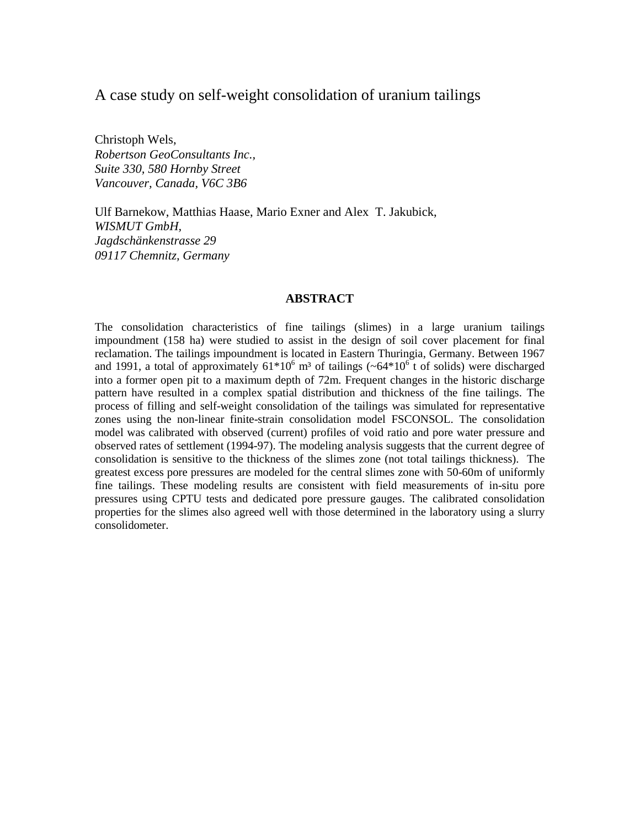# A case study on self-weight consolidation of uranium tailings

Christoph Wels, *Robertson GeoConsultants Inc., Suite 330, 580 Hornby Street Vancouver, Canada, V6C 3B6*

Ulf Barnekow, Matthias Haase, Mario Exner and Alex T. Jakubick, *WISMUT GmbH, Jagdschänkenstrasse 29 09117 Chemnitz, Germany*

# **ABSTRACT**

The consolidation characteristics of fine tailings (slimes) in a large uranium tailings impoundment (158 ha) were studied to assist in the design of soil cover placement for final reclamation. The tailings impoundment is located in Eastern Thuringia, Germany. Between 1967 and 1991, a total of approximately  $61*10^6$  m<sup>3</sup> of tailings ( $\sim 64*10^6$  t of solids) were discharged into a former open pit to a maximum depth of 72m. Frequent changes in the historic discharge pattern have resulted in a complex spatial distribution and thickness of the fine tailings. The process of filling and self-weight consolidation of the tailings was simulated for representative zones using the non-linear finite-strain consolidation model FSCONSOL. The consolidation model was calibrated with observed (current) profiles of void ratio and pore water pressure and observed rates of settlement (1994-97). The modeling analysis suggests that the current degree of consolidation is sensitive to the thickness of the slimes zone (not total tailings thickness). The greatest excess pore pressures are modeled for the central slimes zone with 50-60m of uniformly fine tailings. These modeling results are consistent with field measurements of in-situ pore pressures using CPTU tests and dedicated pore pressure gauges. The calibrated consolidation properties for the slimes also agreed well with those determined in the laboratory using a slurry consolidometer.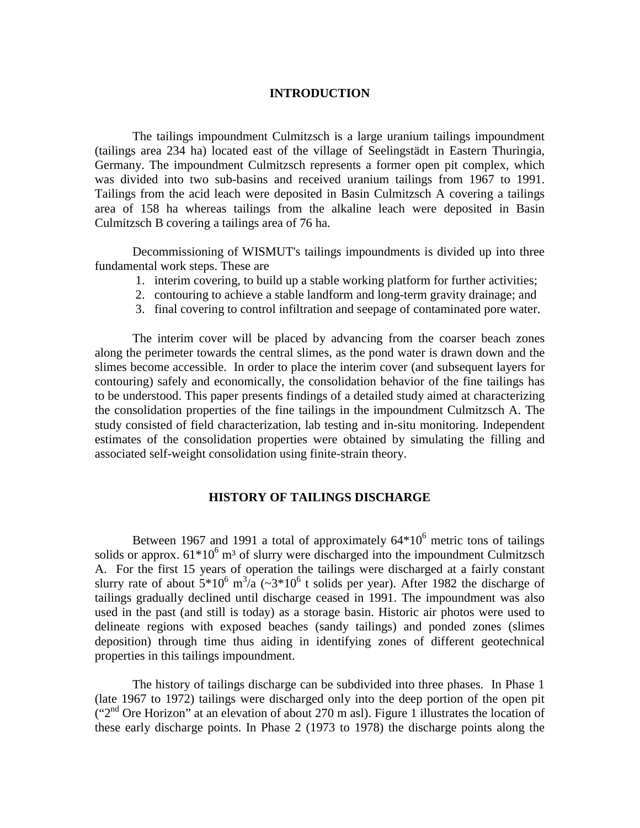# **INTRODUCTION**

The tailings impoundment Culmitzsch is a large uranium tailings impoundment (tailings area 234 ha) located east of the village of Seelingstädt in Eastern Thuringia, Germany. The impoundment Culmitzsch represents a former open pit complex, which was divided into two sub-basins and received uranium tailings from 1967 to 1991. Tailings from the acid leach were deposited in Basin Culmitzsch A covering a tailings area of 158 ha whereas tailings from the alkaline leach were deposited in Basin Culmitzsch B covering a tailings area of 76 ha.

Decommissioning of WISMUT's tailings impoundments is divided up into three fundamental work steps. These are

- 1. interim covering, to build up a stable working platform for further activities;
- 2. contouring to achieve a stable landform and long-term gravity drainage; and
- 3. final covering to control infiltration and seepage of contaminated pore water.

The interim cover will be placed by advancing from the coarser beach zones along the perimeter towards the central slimes, as the pond water is drawn down and the slimes become accessible. In order to place the interim cover (and subsequent layers for contouring) safely and economically, the consolidation behavior of the fine tailings has to be understood. This paper presents findings of a detailed study aimed at characterizing the consolidation properties of the fine tailings in the impoundment Culmitzsch A. The study consisted of field characterization, lab testing and in-situ monitoring. Independent estimates of the consolidation properties were obtained by simulating the filling and associated self-weight consolidation using finite-strain theory.

## **HISTORY OF TAILINGS DISCHARGE**

Between 1967 and 1991 a total of approximately  $64*10^6$  metric tons of tailings solids or approx.  $61*10^6$  m<sup>3</sup> of slurry were discharged into the impoundment Culmitzsch A. For the first 15 years of operation the tailings were discharged at a fairly constant slurry rate of about  $5*10^6$  m<sup>3</sup>/a (~3\*10<sup>6</sup> t solids per year). After 1982 the discharge of tailings gradually declined until discharge ceased in 1991. The impoundment was also used in the past (and still is today) as a storage basin. Historic air photos were used to delineate regions with exposed beaches (sandy tailings) and ponded zones (slimes deposition) through time thus aiding in identifying zones of different geotechnical properties in this tailings impoundment.

The history of tailings discharge can be subdivided into three phases. In Phase 1 (late 1967 to 1972) tailings were discharged only into the deep portion of the open pit  $("2<sup>nd</sup> Ore Horizon" at an elevation of about 270 m as). Figure 1 illustrates the location of$ these early discharge points. In Phase 2 (1973 to 1978) the discharge points along the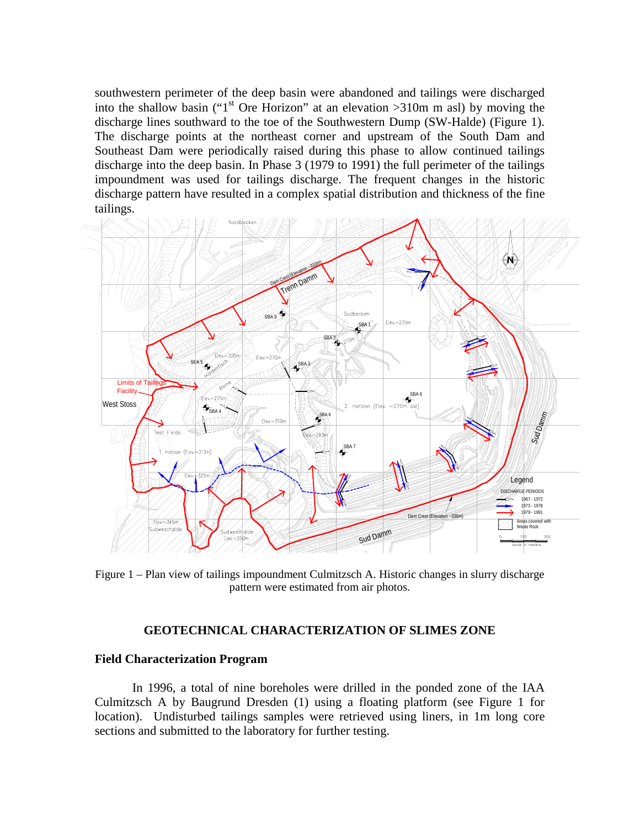southwestern perimeter of the deep basin were abandoned and tailings were discharged into the shallow basin ("1<sup>st</sup> Ore Horizon" at an elevation  $>310$ m m asl) by moving the discharge lines southward to the toe of the Southwestern Dump (SW-Halde) (Figure 1). The discharge points at the northeast corner and upstream of the South Dam and Southeast Dam were periodically raised during this phase to allow continued tailings discharge into the deep basin. In Phase 3 (1979 to 1991) the full perimeter of the tailings impoundment was used for tailings discharge. The frequent changes in the historic discharge pattern have resulted in a complex spatial distribution and thickness of the fine tailings.



Figure 1 – Plan view of tailings impoundment Culmitzsch A. Historic changes in slurry discharge pattern were estimated from air photos.

# **GEOTECHNICAL CHARACTERIZATION OF SLIMES ZONE**

### **Field Characterization Program**

In 1996, a total of nine boreholes were drilled in the ponded zone of the IAA Culmitzsch A by Baugrund Dresden (1) using a floating platform (see Figure 1 for location). Undisturbed tailings samples were retrieved using liners, in 1m long core sections and submitted to the laboratory for further testing.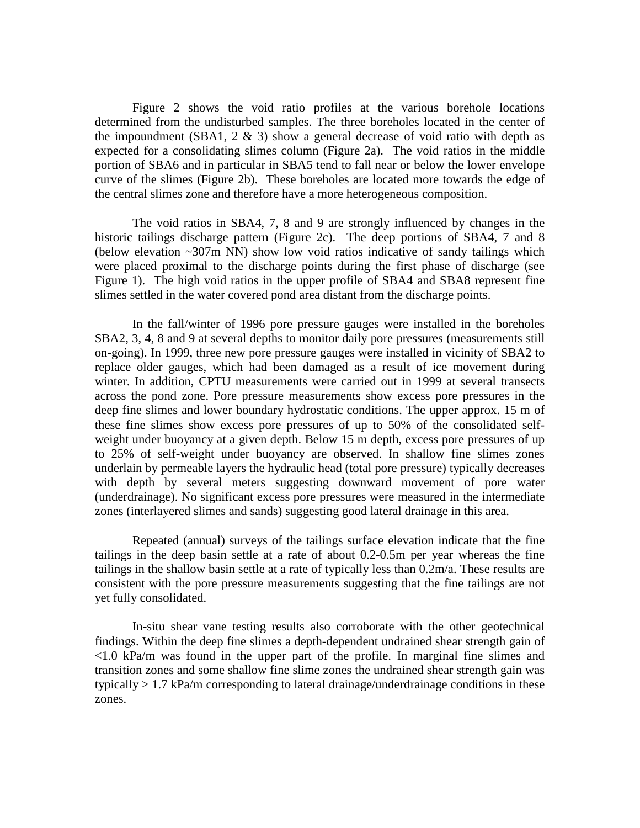Figure 2 shows the void ratio profiles at the various borehole locations determined from the undisturbed samples. The three boreholes located in the center of the impoundment (SBA1,  $2 \& 3$ ) show a general decrease of void ratio with depth as expected for a consolidating slimes column (Figure 2a). The void ratios in the middle portion of SBA6 and in particular in SBA5 tend to fall near or below the lower envelope curve of the slimes (Figure 2b). These boreholes are located more towards the edge of the central slimes zone and therefore have a more heterogeneous composition.

The void ratios in SBA4, 7, 8 and 9 are strongly influenced by changes in the historic tailings discharge pattern (Figure 2c). The deep portions of SBA4, 7 and 8 (below elevation ~307m NN) show low void ratios indicative of sandy tailings which were placed proximal to the discharge points during the first phase of discharge (see Figure 1). The high void ratios in the upper profile of SBA4 and SBA8 represent fine slimes settled in the water covered pond area distant from the discharge points.

In the fall/winter of 1996 pore pressure gauges were installed in the boreholes SBA2, 3, 4, 8 and 9 at several depths to monitor daily pore pressures (measurements still on-going). In 1999, three new pore pressure gauges were installed in vicinity of SBA2 to replace older gauges, which had been damaged as a result of ice movement during winter. In addition, CPTU measurements were carried out in 1999 at several transects across the pond zone. Pore pressure measurements show excess pore pressures in the deep fine slimes and lower boundary hydrostatic conditions. The upper approx. 15 m of these fine slimes show excess pore pressures of up to 50% of the consolidated selfweight under buoyancy at a given depth. Below 15 m depth, excess pore pressures of up to 25% of self-weight under buoyancy are observed. In shallow fine slimes zones underlain by permeable layers the hydraulic head (total pore pressure) typically decreases with depth by several meters suggesting downward movement of pore water (underdrainage). No significant excess pore pressures were measured in the intermediate zones (interlayered slimes and sands) suggesting good lateral drainage in this area.

Repeated (annual) surveys of the tailings surface elevation indicate that the fine tailings in the deep basin settle at a rate of about 0.2-0.5m per year whereas the fine tailings in the shallow basin settle at a rate of typically less than 0.2m/a. These results are consistent with the pore pressure measurements suggesting that the fine tailings are not yet fully consolidated.

In-situ shear vane testing results also corroborate with the other geotechnical findings. Within the deep fine slimes a depth-dependent undrained shear strength gain of <1.0 kPa/m was found in the upper part of the profile. In marginal fine slimes and transition zones and some shallow fine slime zones the undrained shear strength gain was typically > 1.7 kPa/m corresponding to lateral drainage/underdrainage conditions in these zones.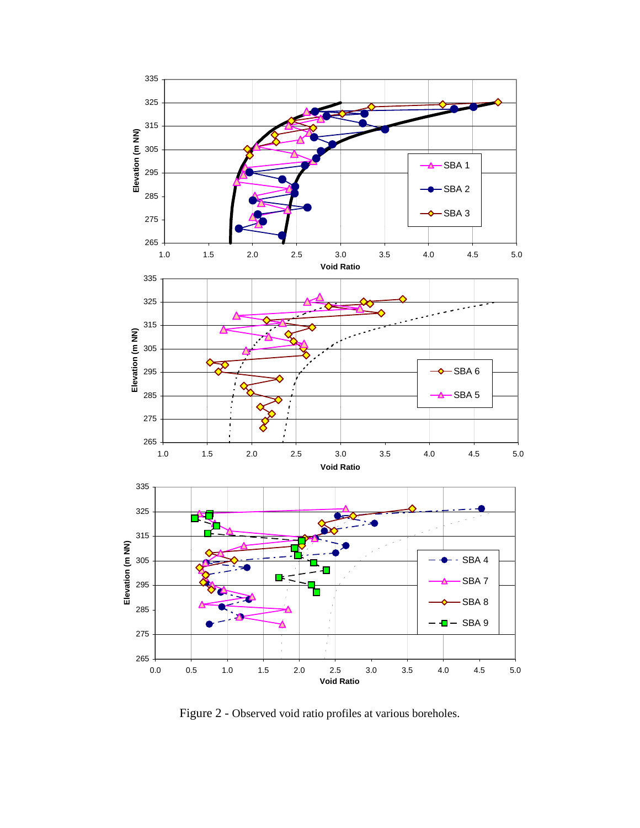

Figure 2 - Observed void ratio profiles at various boreholes.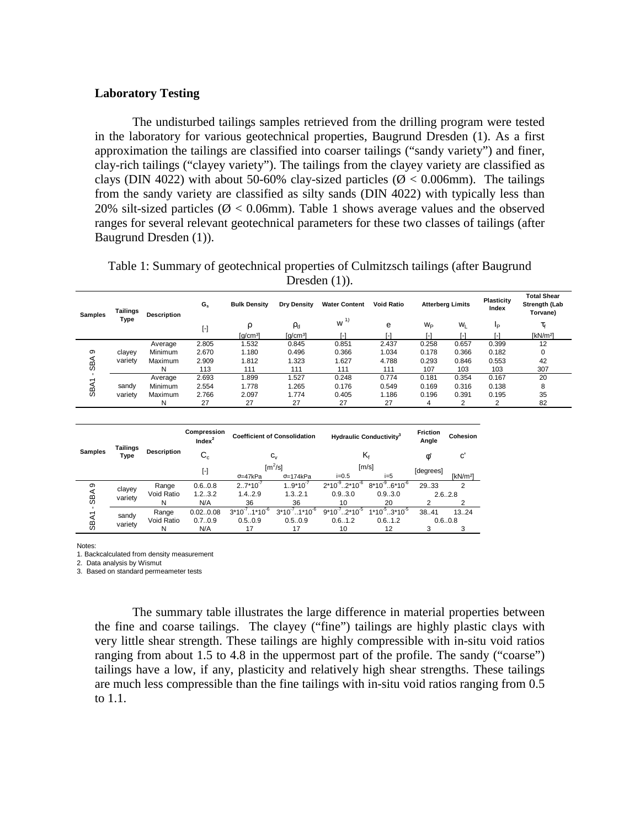# **Laboratory Testing**

The undisturbed tailings samples retrieved from the drilling program were tested in the laboratory for various geotechnical properties, Baugrund Dresden (1). As a first approximation the tailings are classified into coarser tailings ("sandy variety") and finer, clay-rich tailings ("clayey variety"). The tailings from the clayey variety are classified as clays (DIN 4022) with about 50-60% clay-sized particles ( $\varnothing$  < 0.006mm). The tailings from the sandy variety are classified as silty sands (DIN 4022) with typically less than 20% silt-sized particles ( $\varnothing$  < 0.06mm). Table 1 shows average values and the observed ranges for several relevant geotechnical parameters for these two classes of tailings (after Baugrund Dresden (1)).

Table 1: Summary of geotechnical properties of Culmitzsch tailings (after Baugrund Dresden  $(1)$ ).

| <b>Samples</b> | Tailings<br>Type  | <b>Description</b> | $G_s$                   | <b>Bulk Density</b>    | <b>Dry Density</b>   | <b>Water Content</b> | <b>Void Ratio</b> | <b>Atterberg Limits</b> |         | Plasticity<br>Index | <b>Total Shear</b><br>Strength (Lab<br>Torvane) |
|----------------|-------------------|--------------------|-------------------------|------------------------|----------------------|----------------------|-------------------|-------------------------|---------|---------------------|-------------------------------------------------|
|                |                   |                    | $\lbrack \cdot \rbrack$ |                        | $\rho_d$             | w <sup>1</sup>       | е                 | W <sub>P</sub>          | $W_{L}$ | Iр                  | $\tau_{\text{f}}$                               |
|                |                   |                    |                         | $\lceil q/cm^3 \rceil$ | [g/cm <sup>3</sup> ] | ı-ı                  | L1                |                         |         |                     | [ $kN/m2$ ]                                     |
|                | clayey<br>variety | Average            | 2.805                   | 1.532                  | 0.845                | 0.851                | 2.437             | 0.258                   | 0.657   | 0.399               | 12                                              |
| စာ             |                   | Minimum            | 2.670                   | 1.180                  | 0.496                | 0.366                | 1.034             | 0.178                   | 0.366   | 0.182               | 0                                               |
| ⋖              |                   | Maximum            | 2.909                   | 1.812                  | 1.323                | 1.627                | 4.788             | 0.293                   | 0.846   | 0.553               | 42                                              |
| မ္တ            |                   | N                  | 113                     | 111                    | 111                  | 111                  | 111               | 107                     | 103     | 103                 | 307                                             |
| $\overline{ }$ | sandv<br>variety  | Average            | 2.693                   | 1.899                  | 1.527                | 0.248                | 0.774             | 0.181                   | 0.354   | 0.167               | 20                                              |
| <b>SBA</b>     |                   | Minimum            | 2.554                   | 1.778                  | 1.265                | 0.176                | 0.549             | 0.169                   | 0.316   | 0.138               | 8                                               |
|                |                   | Maximum            | 2.766                   | 2.097                  | 1.774                | 0.405                | 1.186             | 0.196                   | 0.391   | 0.195               | 35                                              |
|                |                   | N                  | 27                      | 27                     | 27                   | 27                   | 27                | 4                       | 2       | $\overline{2}$      | 82                                              |

| <b>Samples</b>   |                   |                    | Compression<br>Index <sup>2</sup> |                                 | <b>Coefficient of Consolidation</b> | <b>Hydraulic Conductivity<sup>3</sup></b> |                                | <b>Friction</b><br>Angle | Cohesion             |
|------------------|-------------------|--------------------|-----------------------------------|---------------------------------|-------------------------------------|-------------------------------------------|--------------------------------|--------------------------|----------------------|
|                  | Tailings<br>Type  | <b>Description</b> | $\mathtt{C_{c}}$                  |                                 | $C_{\vee}$                          |                                           | K,                             | ø                        | c'                   |
|                  |                   |                    | $\left[ \cdot \right]$            |                                 | $\text{[m}^2/\text{s}]$             | [m/s]                                     |                                | [degrees]                |                      |
|                  |                   |                    |                                   | $\sigma = 47kPa$                | $\sigma = 174kPa$                   | $i = 0.5$                                 | $i=5$                          |                          | [kN/m <sup>2</sup> ] |
| ၜ                | clayey<br>variety | Range              | 0.6.0.8                           | $2.7*10^{-7}$                   | $1.9*10^{-7}$                       | $2*10^{-9}$ $.2*10^{-6}$                  | $8*10^{9}$ 6*10 <sup>-6</sup>  | 29.33                    | 2                    |
| ЯS               |                   | Void Ratio         | 1.23.2                            | 1.42.9                          | 1.32.1                              | 0.93.0                                    | 0.93.0                         | 2.62.8                   |                      |
| SBA <sub>1</sub> |                   | N                  | N/A                               | 36                              | 36                                  | 10                                        | 20                             |                          |                      |
|                  | sandy<br>variety  | Range              | 0.020.08                          | $3*10^{7}$ . 1*10 <sup>-6</sup> | $.1*10^{6}$<br>$3*10-7$ .           | $9*10^{-7}$ $2*10^{-5}$                   | $1*10^{-5}$ 3*10 <sup>-5</sup> | 38.41                    | 13.24                |
|                  |                   | Void Ratio         | 0.70.9                            | 0.5.0.9                         | 0.50.9                              | 0.61.2                                    | 0.61.2                         | 0.60.8                   |                      |
|                  |                   | N                  | N/A                               | 17                              | 17                                  | 10                                        | 12                             | 3                        |                      |

Notes:

1. Backcalculated from density measurement

2. Data analysis by Wismut

3. Based on standard permeameter tests

The summary table illustrates the large difference in material properties between the fine and coarse tailings. The clayey ("fine") tailings are highly plastic clays with very little shear strength. These tailings are highly compressible with in-situ void ratios ranging from about 1.5 to 4.8 in the uppermost part of the profile. The sandy ("coarse") tailings have a low, if any, plasticity and relatively high shear strengths. These tailings are much less compressible than the fine tailings with in-situ void ratios ranging from 0.5 to 1.1.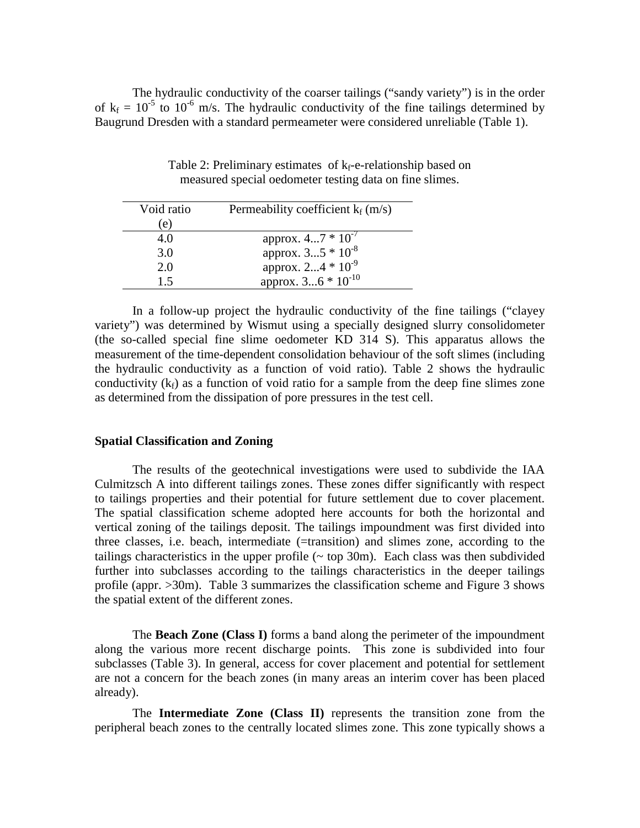The hydraulic conductivity of the coarser tailings ("sandy variety") is in the order of  $k_f = 10^{-5}$  to 10<sup>-6</sup> m/s. The hydraulic conductivity of the fine tailings determined by Baugrund Dresden with a standard permeameter were considered unreliable (Table 1).

| Void ratio | Permeability coefficient $k_f$ (m/s) |  |  |  |  |  |
|------------|--------------------------------------|--|--|--|--|--|
| (e)        |                                      |  |  |  |  |  |
| 4.0        | approx. $47 * 10^{-7}$               |  |  |  |  |  |
| 3.0        | approx. $35 * 10^{-8}$               |  |  |  |  |  |
| 2.0        | approx. $24 * 10^{-9}$               |  |  |  |  |  |
| 15         | approx. $36 * 10^{-10}$              |  |  |  |  |  |

Table 2: Preliminary estimates of  $k_f$ -e-relationship based on measured special oedometer testing data on fine slimes.

In a follow-up project the hydraulic conductivity of the fine tailings ("clayey variety") was determined by Wismut using a specially designed slurry consolidometer (the so-called special fine slime oedometer KD 314 S). This apparatus allows the measurement of the time-dependent consolidation behaviour of the soft slimes (including the hydraulic conductivity as a function of void ratio). Table 2 shows the hydraulic conductivity  $(k_f)$  as a function of void ratio for a sample from the deep fine slimes zone as determined from the dissipation of pore pressures in the test cell.

#### **Spatial Classification and Zoning**

The results of the geotechnical investigations were used to subdivide the IAA Culmitzsch A into different tailings zones. These zones differ significantly with respect to tailings properties and their potential for future settlement due to cover placement. The spatial classification scheme adopted here accounts for both the horizontal and vertical zoning of the tailings deposit. The tailings impoundment was first divided into three classes, i.e. beach, intermediate (=transition) and slimes zone, according to the tailings characteristics in the upper profile  $(\sim$  top 30m). Each class was then subdivided further into subclasses according to the tailings characteristics in the deeper tailings profile (appr. >30m). Table 3 summarizes the classification scheme and Figure 3 shows the spatial extent of the different zones.

The **Beach Zone (Class I)** forms a band along the perimeter of the impoundment along the various more recent discharge points. This zone is subdivided into four subclasses (Table 3). In general, access for cover placement and potential for settlement are not a concern for the beach zones (in many areas an interim cover has been placed already).

The **Intermediate Zone (Class II)** represents the transition zone from the peripheral beach zones to the centrally located slimes zone. This zone typically shows a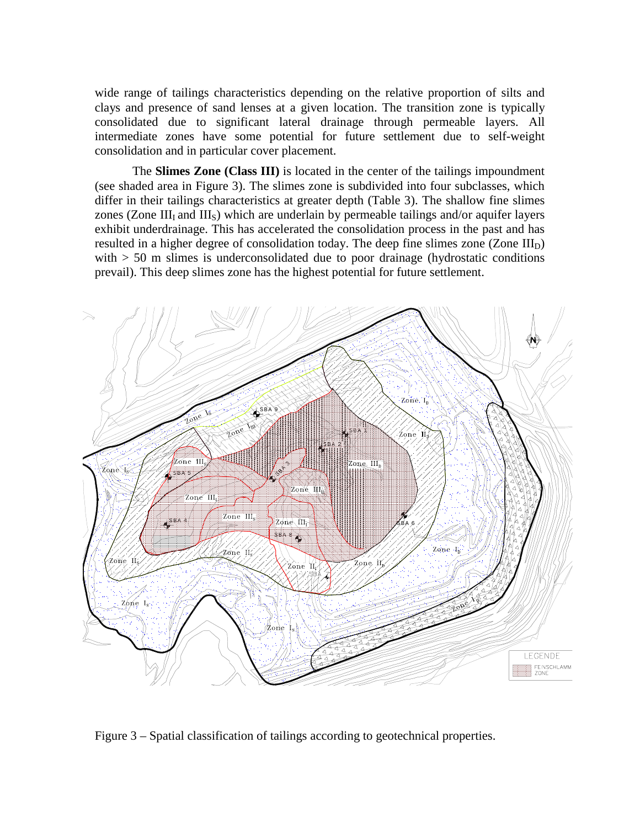wide range of tailings characteristics depending on the relative proportion of silts and clays and presence of sand lenses at a given location. The transition zone is typically consolidated due to significant lateral drainage through permeable layers. All intermediate zones have some potential for future settlement due to self-weight consolidation and in particular cover placement.

The **Slimes Zone (Class III)** is located in the center of the tailings impoundment (see shaded area in Figure 3). The slimes zone is subdivided into four subclasses, which differ in their tailings characteristics at greater depth (Table 3). The shallow fine slimes zones (Zone III $_I$  and III<sub>S</sub>) which are underlain by permeable tailings and/or aquifer layers exhibit underdrainage. This has accelerated the consolidation process in the past and has resulted in a higher degree of consolidation today. The deep fine slimes zone (Zone  $III_D$ ) with  $> 50$  m slimes is underconsolidated due to poor drainage (hydrostatic conditions prevail). This deep slimes zone has the highest potential for future settlement.



Figure 3 – Spatial classification of tailings according to geotechnical properties.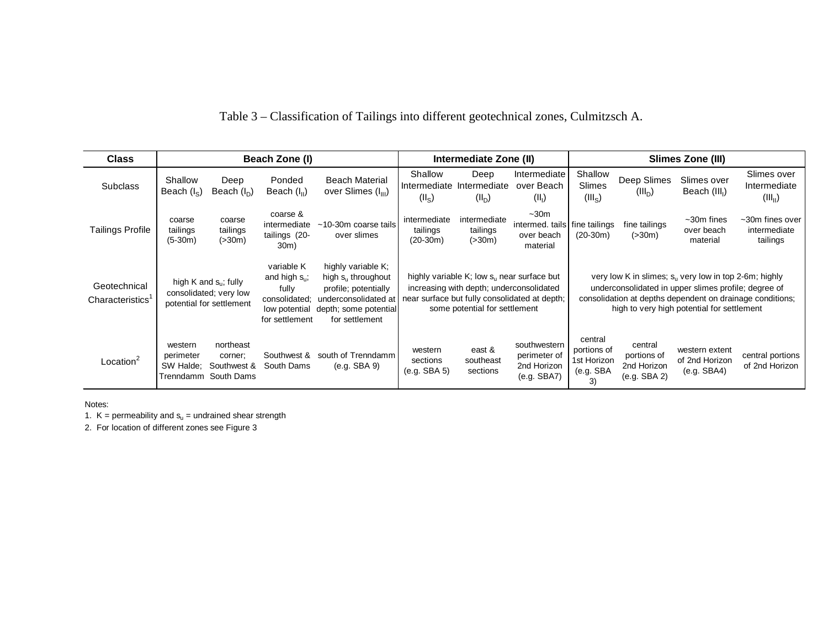| <b>Class</b>                                 |                                                                                      |                                                   | Beach Zone (I)                                                                                |                                                                                                                                          |                                                                                                                                                                                    | Intermediate Zone (II)                        |                                                            | Slimes Zone (III)                                        |                                                                                                                                                                         |                                                           |                                                         |
|----------------------------------------------|--------------------------------------------------------------------------------------|---------------------------------------------------|-----------------------------------------------------------------------------------------------|------------------------------------------------------------------------------------------------------------------------------------------|------------------------------------------------------------------------------------------------------------------------------------------------------------------------------------|-----------------------------------------------|------------------------------------------------------------|----------------------------------------------------------|-------------------------------------------------------------------------------------------------------------------------------------------------------------------------|-----------------------------------------------------------|---------------------------------------------------------|
| <b>Subclass</b>                              | Shallow<br>Beach $(I_{S})$                                                           | Deep<br>Beach $(I_n)$                             | Ponded<br>Beach $(III)$                                                                       | <b>Beach Material</b><br>over Slimes (I <sub>III</sub> )                                                                                 | Shallow<br>$(II_S)$                                                                                                                                                                | Deep<br>Intermediate Intermediate<br>$(II_D)$ | Intermediate<br>over Beach<br>(II <sub>1</sub> )           | Shallow<br><b>Slimes</b><br>(III <sub>s</sub> )          | Deep Slimes<br>$(III_D)$                                                                                                                                                | Slimes over<br>Beach (III <sub>I</sub> )                  | Slimes over<br>Intermediate<br>(III <sub>II</sub> )     |
| <b>Tailings Profile</b>                      | coarse<br>tailings<br>$(5-30m)$                                                      | coarse<br>tailings<br>( > 30m)                    | coarse &<br>intermediate<br>tailings (20-<br>30m)                                             | ~10-30m coarse tails<br>over slimes                                                                                                      | intermediate<br>tailings<br>$(20-30m)$                                                                                                                                             | intermediate<br>tailings<br>( > 30m)          | $~1$ -30 $m$<br>intermed. tails<br>over beach<br>material  | fine tailings<br>$(20-30m)$                              | fine tailings<br>( > 30m)                                                                                                                                               | $~1$ -30 $m$ fines<br>over beach<br>material              | $~\sim$ 30 $~$ m fines over<br>intermediate<br>tailings |
| Geotechnical<br>Characteristics <sup>1</sup> | high K and $s_{\rm u}$ ; fully<br>consolidated; very low<br>potential for settlement |                                                   | variable K<br>and high $s_{u}$ ;<br>fully<br>consolidated;<br>low potential<br>for settlement | highly variable K;<br>high $s_{u}$ throughout<br>profile; potentially<br>underconsolidated at<br>depth; some potential<br>for settlement | highly variable $K$ ; low $s_{\mu}$ near surface but<br>increasing with depth; underconsolidated<br>near surface but fully consolidated at depth;<br>some potential for settlement |                                               |                                                            |                                                          | very low K in slimes; s <sub>u</sub> very low in top 2-6m; highly<br>underconsolidated in upper slimes profile; degree of<br>high to very high potential for settlement | consolidation at depths dependent on drainage conditions; |                                                         |
| Location <sup>2</sup>                        | western<br>perimeter<br>SW Halde:<br>Trenndamm                                       | northeast<br>corner:<br>Southwest &<br>South Dams | Southwest &<br>South Dams                                                                     | south of Trenndamm<br>(e.g. SBA 9)                                                                                                       | western<br>sections<br>(e.g. SBA 5)                                                                                                                                                | east &<br>southeast<br>sections               | southwestern<br>perimeter of<br>2nd Horizon<br>(e.g. SBA7) | central<br>portions of<br>1st Horizon<br>(e.g. SBA<br>3) | central<br>portions of<br>2nd Horizon<br>(e.g. SBA 2)                                                                                                                   | western extent<br>of 2nd Horizon<br>(e.g. SBA4)           | central portions<br>of 2nd Horizon                      |

Table 3 – Classification of Tailings into different geotechnical zones, Culmitzsch A.

Notes:

1.  $K =$  permeability and  $s<sub>u</sub> =$  undrained shear strength

2. For location of different zones see Figure 3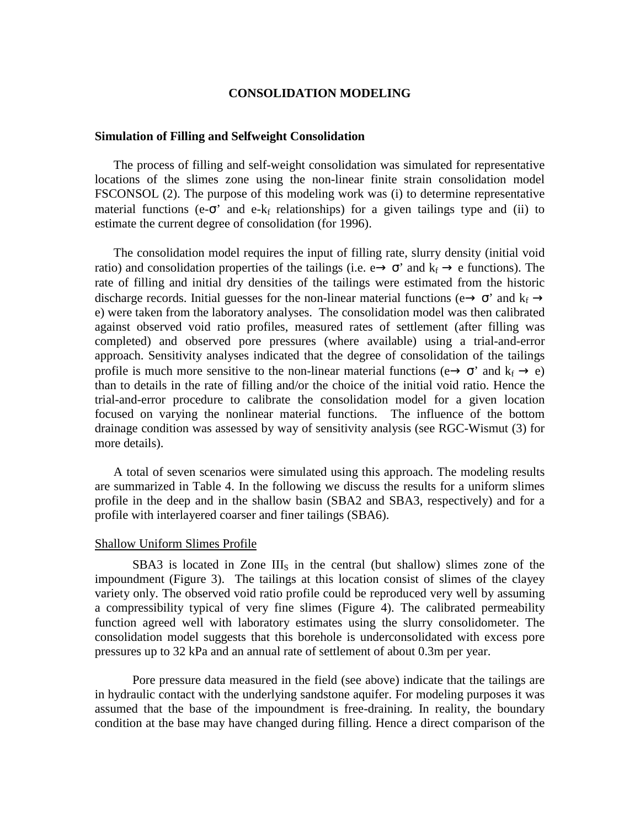## **CONSOLIDATION MODELING**

#### **Simulation of Filling and Selfweight Consolidation**

The process of filling and self-weight consolidation was simulated for representative locations of the slimes zone using the non-linear finite strain consolidation model FSCONSOL (2). The purpose of this modeling work was (i) to determine representative material functions (e- $\sigma$ ' and e-k<sub>f</sub> relationships) for a given tailings type and (ii) to estimate the current degree of consolidation (for 1996).

The consolidation model requires the input of filling rate, slurry density (initial void ratio) and consolidation properties of the tailings (i.e.  $e \rightarrow \sigma'$  and  $k_f \rightarrow e$  functions). The rate of filling and initial dry densities of the tailings were estimated from the historic discharge records. Initial guesses for the non-linear material functions ( $e \rightarrow \sigma'$  and  $k_f \rightarrow$ e) were taken from the laboratory analyses. The consolidation model was then calibrated against observed void ratio profiles, measured rates of settlement (after filling was completed) and observed pore pressures (where available) using a trial-and-error approach. Sensitivity analyses indicated that the degree of consolidation of the tailings profile is much more sensitive to the non-linear material functions ( $e \rightarrow \sigma'$  and  $k_f \rightarrow e$ ) than to details in the rate of filling and/or the choice of the initial void ratio. Hence the trial-and-error procedure to calibrate the consolidation model for a given location focused on varying the nonlinear material functions. The influence of the bottom drainage condition was assessed by way of sensitivity analysis (see RGC-Wismut (3) for more details).

A total of seven scenarios were simulated using this approach. The modeling results are summarized in Table 4. In the following we discuss the results for a uniform slimes profile in the deep and in the shallow basin (SBA2 and SBA3, respectively) and for a profile with interlayered coarser and finer tailings (SBA6).

#### Shallow Uniform Slimes Profile

 $SBA3$  is located in Zone  $III<sub>S</sub>$  in the central (but shallow) slimes zone of the impoundment (Figure 3). The tailings at this location consist of slimes of the clayey variety only. The observed void ratio profile could be reproduced very well by assuming a compressibility typical of very fine slimes (Figure 4). The calibrated permeability function agreed well with laboratory estimates using the slurry consolidometer. The consolidation model suggests that this borehole is underconsolidated with excess pore pressures up to 32 kPa and an annual rate of settlement of about 0.3m per year.

Pore pressure data measured in the field (see above) indicate that the tailings are in hydraulic contact with the underlying sandstone aquifer. For modeling purposes it was assumed that the base of the impoundment is free-draining. In reality, the boundary condition at the base may have changed during filling. Hence a direct comparison of the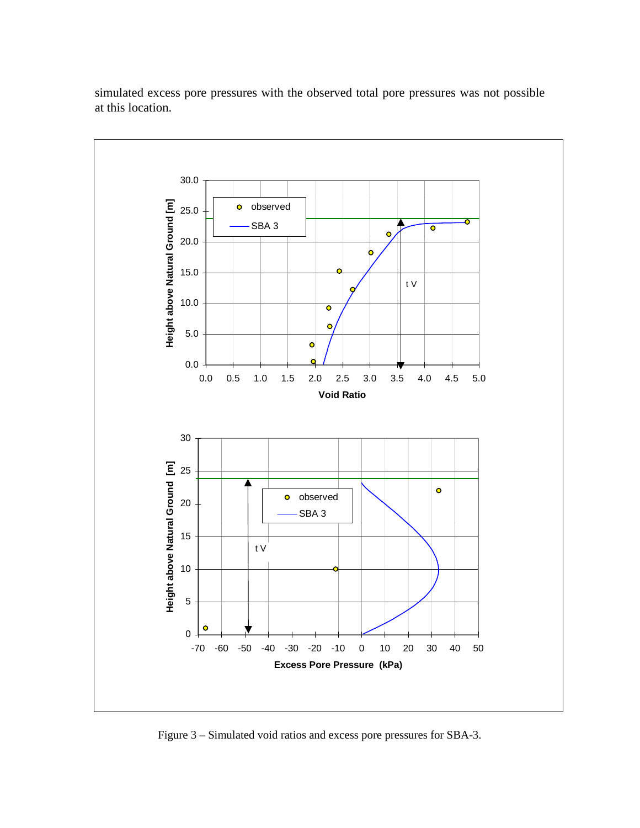

simulated excess pore pressures with the observed total pore pressures was not possible at this location.

Figure 3 – Simulated void ratios and excess pore pressures for SBA-3.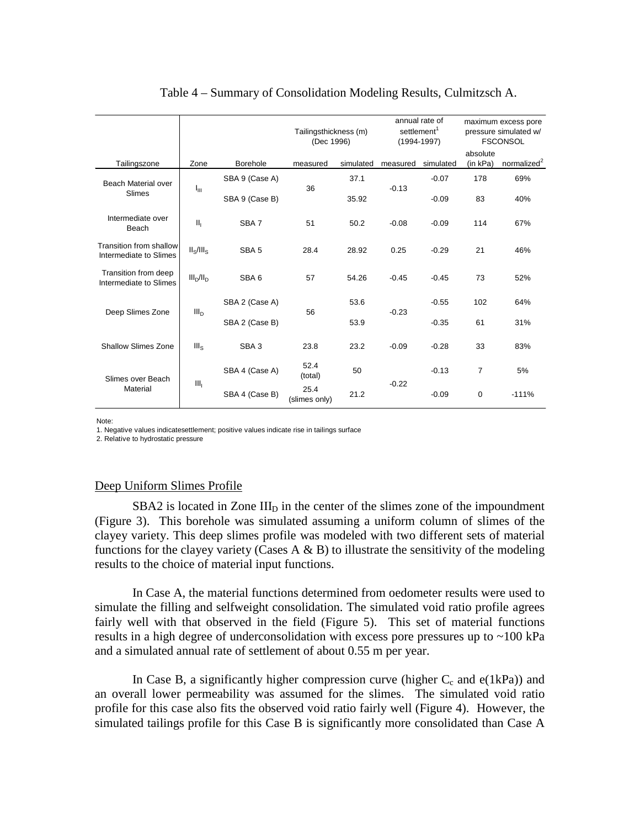|                                                   |                                   | Tailingsthickness (m)<br>(Dec 1996) |                       |           | annual rate of<br>settlement <sup>1</sup><br>$(1994 - 1997)$ |           | maximum excess pore<br>pressure simulated w/<br><b>FSCONSOL</b> |                         |
|---------------------------------------------------|-----------------------------------|-------------------------------------|-----------------------|-----------|--------------------------------------------------------------|-----------|-----------------------------------------------------------------|-------------------------|
| Tailingszone                                      | Zone                              | <b>Borehole</b>                     | measured              | simulated | measured                                                     | simulated | absolute<br>(in kPa)                                            | normalized <sup>2</sup> |
| Beach Material over                               |                                   | SBA 9 (Case A)                      |                       | 37.1      |                                                              | $-0.07$   | 178                                                             | 69%                     |
| Slimes                                            | հա                                | SBA 9 (Case B)                      | 36                    | 35.92     | $-0.13$                                                      | $-0.09$   | 83                                                              | 40%                     |
| Intermediate over<br>Beach                        | II <sub>1</sub>                   | SBA7                                | 51                    | 50.2      | $-0.08$                                                      | $-0.09$   | 114                                                             | 67%                     |
| Transition from shallow<br>Intermediate to Slimes | II <sub>s</sub> /III <sub>s</sub> | SBA <sub>5</sub>                    | 28.4                  | 28.92     | 0.25                                                         | $-0.29$   | 21                                                              | 46%                     |
| Transition from deep<br>Intermediate to Slimes    | $III_D/II_D$                      | SBA6                                | 57                    | 54.26     | $-0.45$                                                      | $-0.45$   | 73                                                              | 52%                     |
|                                                   | III <sub>D</sub>                  | SBA 2 (Case A)                      |                       | 53.6      |                                                              | $-0.55$   | 102                                                             | 64%                     |
| Deep Slimes Zone                                  |                                   | SBA 2 (Case B)                      | 56                    | 53.9      | $-0.23$                                                      | $-0.35$   | 61                                                              | 31%                     |
| Shallow Slimes Zone                               | III <sub>S</sub>                  | SBA <sub>3</sub>                    | 23.8                  | 23.2      | $-0.09$                                                      | $-0.28$   | 33                                                              | 83%                     |
| Slimes over Beach                                 |                                   | SBA 4 (Case A)                      | 52.4<br>(total)       | 50        |                                                              | $-0.13$   | 7                                                               | 5%                      |
| Material                                          | III <sub>1</sub>                  | SBA 4 (Case B)                      | 25.4<br>(slimes only) | 21.2      | $-0.22$                                                      | $-0.09$   | $\mathbf 0$                                                     | $-111%$                 |

# Table 4 – Summary of Consolidation Modeling Results, Culmitzsch A.

Note:

1. Negative values indicatesettlement; positive values indicate rise in tailings surface

2. Relative to hydrostatic pressure

# Deep Uniform Slimes Profile

 $SBA2$  is located in Zone  $III<sub>D</sub>$  in the center of the slimes zone of the impoundment (Figure 3). This borehole was simulated assuming a uniform column of slimes of the clayey variety. This deep slimes profile was modeled with two different sets of material functions for the clayey variety (Cases A  $\&$  B) to illustrate the sensitivity of the modeling results to the choice of material input functions.

In Case A, the material functions determined from oedometer results were used to simulate the filling and selfweight consolidation. The simulated void ratio profile agrees fairly well with that observed in the field (Figure 5). This set of material functions results in a high degree of underconsolidation with excess pore pressures up to  $\sim$ 100 kPa and a simulated annual rate of settlement of about 0.55 m per year.

In Case B, a significantly higher compression curve (higher  $C_c$  and  $e(1kPa)$ ) and an overall lower permeability was assumed for the slimes. The simulated void ratio profile for this case also fits the observed void ratio fairly well (Figure 4). However, the simulated tailings profile for this Case B is significantly more consolidated than Case A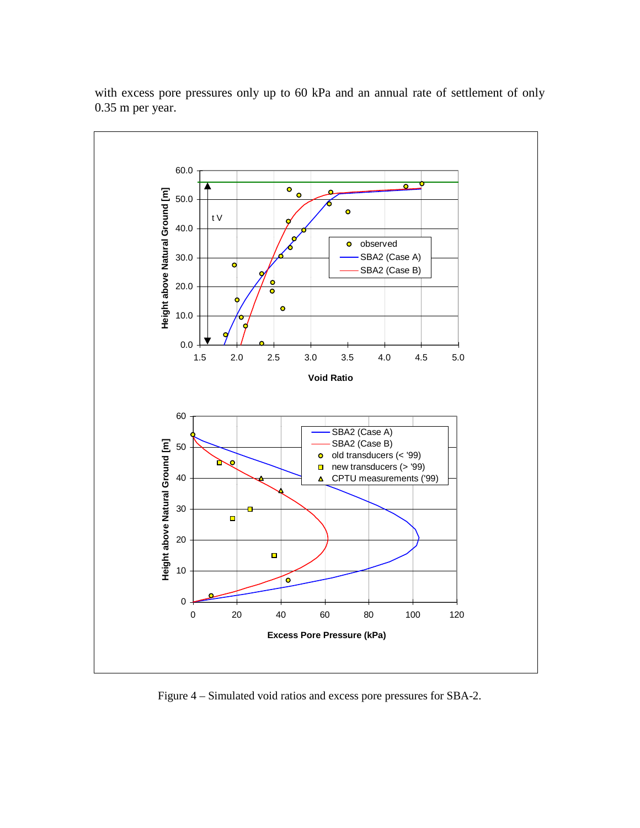

with excess pore pressures only up to 60 kPa and an annual rate of settlement of only 0.35 m per year.

Figure 4 – Simulated void ratios and excess pore pressures for SBA-2.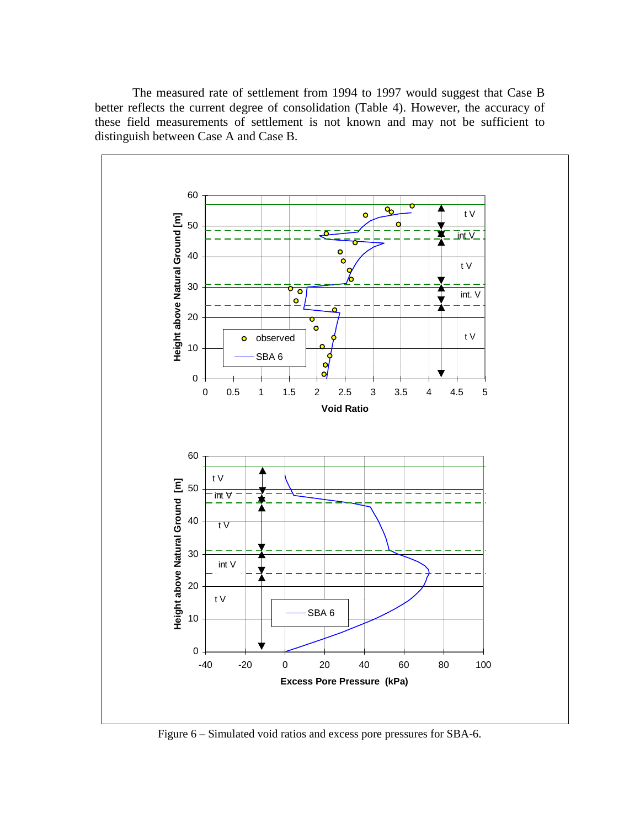The measured rate of settlement from 1994 to 1997 would suggest that Case B better reflects the current degree of consolidation (Table 4). However, the accuracy of these field measurements of settlement is not known and may not be sufficient to distinguish between Case A and Case B.



Figure 6 – Simulated void ratios and excess pore pressures for SBA-6.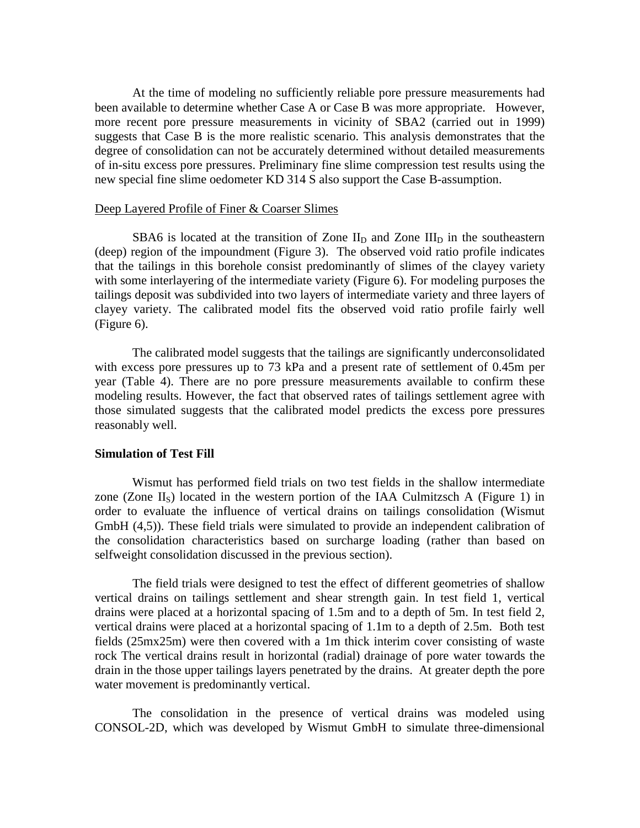At the time of modeling no sufficiently reliable pore pressure measurements had been available to determine whether Case A or Case B was more appropriate. However, more recent pore pressure measurements in vicinity of SBA2 (carried out in 1999) suggests that Case B is the more realistic scenario. This analysis demonstrates that the degree of consolidation can not be accurately determined without detailed measurements of in-situ excess pore pressures. Preliminary fine slime compression test results using the new special fine slime oedometer KD 314 S also support the Case B-assumption.

## Deep Layered Profile of Finer & Coarser Slimes

SBA6 is located at the transition of Zone  $II_D$  and Zone  $III_D$  in the southeastern (deep) region of the impoundment (Figure 3). The observed void ratio profile indicates that the tailings in this borehole consist predominantly of slimes of the clayey variety with some interlayering of the intermediate variety (Figure 6). For modeling purposes the tailings deposit was subdivided into two layers of intermediate variety and three layers of clayey variety. The calibrated model fits the observed void ratio profile fairly well (Figure 6).

The calibrated model suggests that the tailings are significantly underconsolidated with excess pore pressures up to 73 kPa and a present rate of settlement of 0.45m per year (Table 4). There are no pore pressure measurements available to confirm these modeling results. However, the fact that observed rates of tailings settlement agree with those simulated suggests that the calibrated model predicts the excess pore pressures reasonably well.

### **Simulation of Test Fill**

Wismut has performed field trials on two test fields in the shallow intermediate zone (Zone  $II<sub>S</sub>$ ) located in the western portion of the IAA Culmitzsch A (Figure 1) in order to evaluate the influence of vertical drains on tailings consolidation (Wismut GmbH (4,5)). These field trials were simulated to provide an independent calibration of the consolidation characteristics based on surcharge loading (rather than based on selfweight consolidation discussed in the previous section).

The field trials were designed to test the effect of different geometries of shallow vertical drains on tailings settlement and shear strength gain. In test field 1, vertical drains were placed at a horizontal spacing of 1.5m and to a depth of 5m. In test field 2, vertical drains were placed at a horizontal spacing of 1.1m to a depth of 2.5m. Both test fields (25mx25m) were then covered with a 1m thick interim cover consisting of waste rock The vertical drains result in horizontal (radial) drainage of pore water towards the drain in the those upper tailings layers penetrated by the drains. At greater depth the pore water movement is predominantly vertical.

The consolidation in the presence of vertical drains was modeled using CONSOL-2D, which was developed by Wismut GmbH to simulate three-dimensional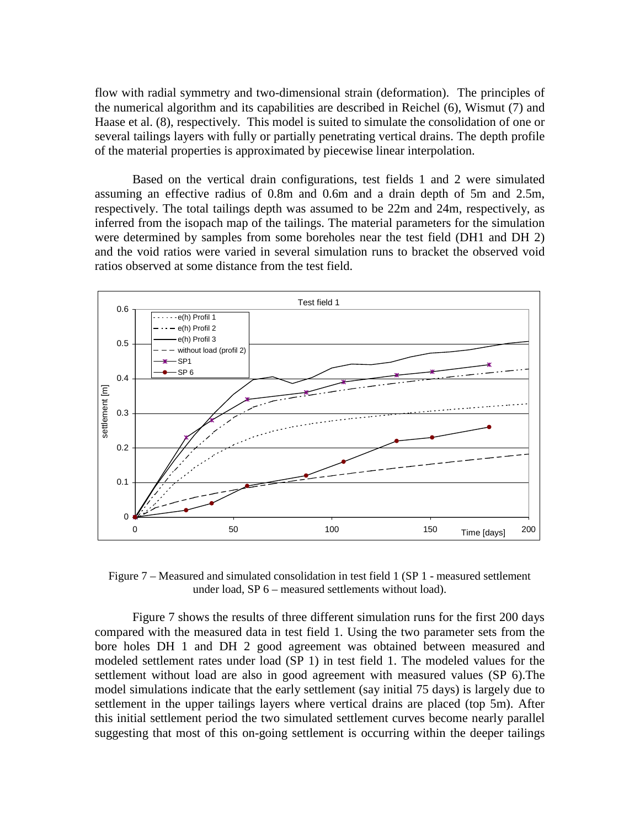flow with radial symmetry and two-dimensional strain (deformation). The principles of the numerical algorithm and its capabilities are described in Reichel (6), Wismut (7) and Haase et al. (8), respectively. This model is suited to simulate the consolidation of one or several tailings layers with fully or partially penetrating vertical drains. The depth profile of the material properties is approximated by piecewise linear interpolation.

Based on the vertical drain configurations, test fields 1 and 2 were simulated assuming an effective radius of 0.8m and 0.6m and a drain depth of 5m and 2.5m, respectively. The total tailings depth was assumed to be 22m and 24m, respectively, as inferred from the isopach map of the tailings. The material parameters for the simulation were determined by samples from some boreholes near the test field (DH1 and DH 2) and the void ratios were varied in several simulation runs to bracket the observed void ratios observed at some distance from the test field.



Figure 7 – Measured and simulated consolidation in test field 1 (SP 1 - measured settlement under load, SP 6 – measured settlements without load).

Figure 7 shows the results of three different simulation runs for the first 200 days compared with the measured data in test field 1. Using the two parameter sets from the bore holes DH 1 and DH 2 good agreement was obtained between measured and modeled settlement rates under load (SP 1) in test field 1. The modeled values for the settlement without load are also in good agreement with measured values (SP 6).The model simulations indicate that the early settlement (say initial 75 days) is largely due to settlement in the upper tailings layers where vertical drains are placed (top 5m). After this initial settlement period the two simulated settlement curves become nearly parallel suggesting that most of this on-going settlement is occurring within the deeper tailings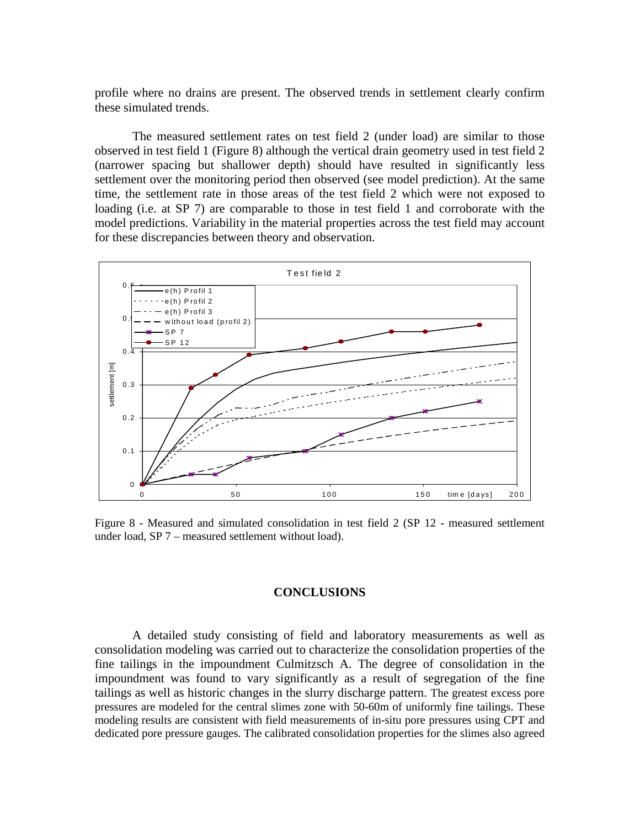profile where no drains are present. The observed trends in settlement clearly confirm these simulated trends.

The measured settlement rates on test field 2 (under load) are similar to those observed in test field 1 (Figure 8) although the vertical drain geometry used in test field 2 (narrower spacing but shallower depth) should have resulted in significantly less settlement over the monitoring period then observed (see model prediction). At the same time, the settlement rate in those areas of the test field 2 which were not exposed to loading (i.e. at SP 7) are comparable to those in test field 1 and corroborate with the model predictions. Variability in the material properties across the test field may account for these discrepancies between theory and observation.



Figure 8 - Measured and simulated consolidation in test field 2 (SP 12 - measured settlement under load, SP 7 – measured settlement without load).

# **CONCLUSIONS**

A detailed study consisting of field and laboratory measurements as well as consolidation modeling was carried out to characterize the consolidation properties of the fine tailings in the impoundment Culmitzsch A. The degree of consolidation in the impoundment was found to vary significantly as a result of segregation of the fine tailings as well as historic changes in the slurry discharge pattern. The greatest excess pore pressures are modeled for the central slimes zone with 50-60m of uniformly fine tailings. These modeling results are consistent with field measurements of in-situ pore pressures using CPT and dedicated pore pressure gauges. The calibrated consolidation properties for the slimes also agreed